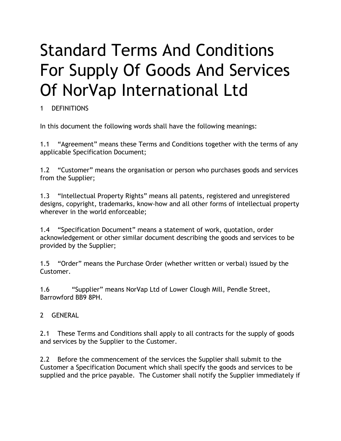# Standard Terms And Conditions For Supply Of Goods And Services Of NorVap International Ltd

# 1 DEFINITIONS

In this document the following words shall have the following meanings:

1.1 "Agreement" means these Terms and Conditions together with the terms of any applicable Specification Document;

1.2 "Customer" means the organisation or person who purchases goods and services from the Supplier;

1.3 "Intellectual Property Rights" means all patents, registered and unregistered designs, copyright, trademarks, know-how and all other forms of intellectual property wherever in the world enforceable;

1.4 "Specification Document" means a statement of work, quotation, order acknowledgement or other similar document describing the goods and services to be provided by the Supplier;

1.5 "Order" means the Purchase Order (whether written or verbal) issued by the Customer.

1.6 "Supplier" means NorVap Ltd of Lower Clough Mill, Pendle Street, Barrowford BB9 8PH.

2 GENERAL

2.1 These Terms and Conditions shall apply to all contracts for the supply of goods and services by the Supplier to the Customer.

2.2 Before the commencement of the services the Supplier shall submit to the Customer a Specification Document which shall specify the goods and services to be supplied and the price payable. The Customer shall notify the Supplier immediately if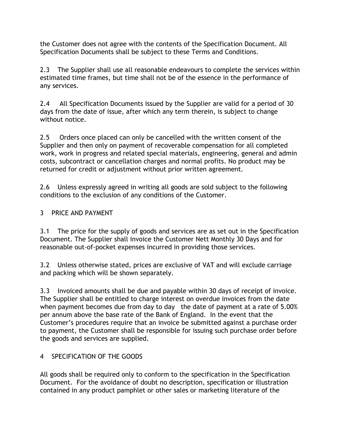the Customer does not agree with the contents of the Specification Document. All Specification Documents shall be subject to these Terms and Conditions.

2.3 The Supplier shall use all reasonable endeavours to complete the services within estimated time frames, but time shall not be of the essence in the performance of any services.

2.4 All Specification Documents issued by the Supplier are valid for a period of 30 days from the date of issue, after which any term therein, is subject to change without notice.

2.5 Orders once placed can only be cancelled with the written consent of the Supplier and then only on payment of recoverable compensation for all completed work, work in progress and related special materials, engineering, general and admin costs, subcontract or cancellation charges and normal profits. No product may be returned for credit or adjustment without prior written agreement.

2.6 Unless expressly agreed in writing all goods are sold subject to the following conditions to the exclusion of any conditions of the Customer.

#### 3 PRICE AND PAYMENT

3.1 The price for the supply of goods and services are as set out in the Specification Document. The Supplier shall invoice the Customer Nett Monthly 30 Days and for reasonable out-of-pocket expenses incurred in providing those services.

3.2 Unless otherwise stated, prices are exclusive of VAT and will exclude carriage and packing which will be shown separately.

3.3 Invoiced amounts shall be due and payable within 30 days of receipt of invoice. The Supplier shall be entitled to charge interest on overdue invoices from the date when payment becomes due from day to day the date of payment at a rate of 5.00% per annum above the base rate of the Bank of England. In the event that the Customer's procedures require that an invoice be submitted against a purchase order to payment, the Customer shall be responsible for issuing such purchase order before the goods and services are supplied.

#### 4 SPECIFICATION OF THE GOODS

All goods shall be required only to conform to the specification in the Specification Document. For the avoidance of doubt no description, specification or illustration contained in any product pamphlet or other sales or marketing literature of the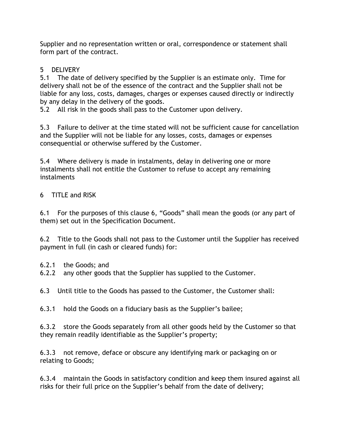Supplier and no representation written or oral, correspondence or statement shall form part of the contract.

# 5 DELIVERY

5.1 The date of delivery specified by the Supplier is an estimate only. Time for delivery shall not be of the essence of the contract and the Supplier shall not be liable for any loss, costs, damages, charges or expenses caused directly or indirectly by any delay in the delivery of the goods.

5.2 All risk in the goods shall pass to the Customer upon delivery.

5.3 Failure to deliver at the time stated will not be sufficient cause for cancellation and the Supplier will not be liable for any losses, costs, damages or expenses consequential or otherwise suffered by the Customer.

5.4 Where delivery is made in instalments, delay in delivering one or more instalments shall not entitle the Customer to refuse to accept any remaining instalments

6 TITLE and RISK

6.1 For the purposes of this clause 6, "Goods" shall mean the goods (or any part of them) set out in the Specification Document.

6.2 Title to the Goods shall not pass to the Customer until the Supplier has received payment in full (in cash or cleared funds) for:

6.2.1 the Goods; and

6.2.2 any other goods that the Supplier has supplied to the Customer.

6.3 Until title to the Goods has passed to the Customer, the Customer shall:

6.3.1 hold the Goods on a fiduciary basis as the Supplier's bailee;

6.3.2 store the Goods separately from all other goods held by the Customer so that they remain readily identifiable as the Supplier's property;

6.3.3 not remove, deface or obscure any identifying mark or packaging on or relating to Goods;

6.3.4 maintain the Goods in satisfactory condition and keep them insured against all risks for their full price on the Supplier's behalf from the date of delivery;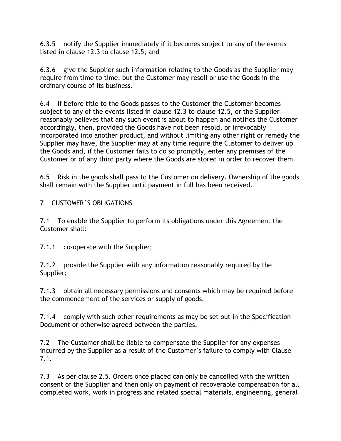6.3.5 notify the Supplier immediately if it becomes subject to any of the events listed in clause 12.3 to clause 12.5; and

6.3.6 give the Supplier such information relating to the Goods as the Supplier may require from time to time, but the Customer may resell or use the Goods in the ordinary course of its business.

6.4 If before title to the Goods passes to the Customer the Customer becomes subject to any of the events listed in clause 12.3 to clause 12.5, or the Supplier reasonably believes that any such event is about to happen and notifies the Customer accordingly, then, provided the Goods have not been resold, or irrevocably incorporated into another product, and without limiting any other right or remedy the Supplier may have, the Supplier may at any time require the Customer to deliver up the Goods and, if the Customer fails to do so promptly, enter any premises of the Customer or of any third party where the Goods are stored in order to recover them.

6.5 Risk in the goods shall pass to the Customer on delivery. Ownership of the goods shall remain with the Supplier until payment in full has been received.

7 CUSTOMER`S OBLIGATIONS

7.1 To enable the Supplier to perform its obligations under this Agreement the Customer shall:

7.1.1 co-operate with the Supplier;

7.1.2 provide the Supplier with any information reasonably required by the Supplier;

7.1.3 obtain all necessary permissions and consents which may be required before the commencement of the services or supply of goods.

7.1.4 comply with such other requirements as may be set out in the Specification Document or otherwise agreed between the parties.

7.2 The Customer shall be liable to compensate the Supplier for any expenses incurred by the Supplier as a result of the Customer's failure to comply with Clause 7.1.

7.3 As per clause 2.5. Orders once placed can only be cancelled with the written consent of the Supplier and then only on payment of recoverable compensation for all completed work, work in progress and related special materials, engineering, general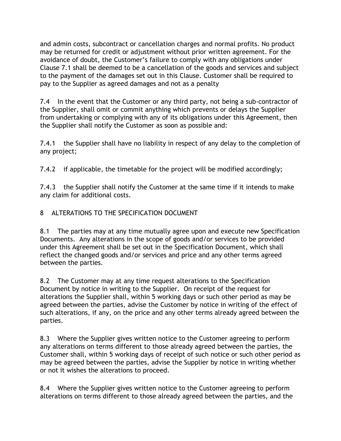and admin costs, subcontract or cancellation charges and normal profits. No product may be returned for credit or adjustment without prior written agreement. For the avoidance of doubt, the Customer's failure to comply with any obligations under Clause 7.1 shall be deemed to be a cancellation of the goods and services and subject to the payment of the damages set out in this Clause. Customer shall be required to pay to the Supplier as agreed damages and not as a penalty

7.4 In the event that the Customer or any third party, not being a sub-contractor of the Supplier, shall omit or commit anything which prevents or delays the Supplier from undertaking or complying with any of its obligations under this Agreement, then the Supplier shall notify the Customer as soon as possible and:

7.4.1 the Supplier shall have no liability in respect of any delay to the completion of any project;

7.4.2 if applicable, the timetable for the project will be modified accordingly;

7.4.3 the Supplier shall notify the Customer at the same time if it intends to make any claim for additional costs.

## 8 ALTERATIONS TO THE SPECIFICATION DOCUMENT

8.1 The parties may at any time mutually agree upon and execute new Specification Documents. Any alterations in the scope of goods and/or services to be provided under this Agreement shall be set out in the Specification Document, which shall reflect the changed goods and/or services and price and any other terms agreed between the parties.

8.2 The Customer may at any time request alterations to the Specification Document by notice in writing to the Supplier. On receipt of the request for alterations the Supplier shall, within 5 working days or such other period as may be agreed between the parties, advise the Customer by notice in writing of the effect of such alterations, if any, on the price and any other terms already agreed between the parties.

8.3 Where the Supplier gives written notice to the Customer agreeing to perform any alterations on terms different to those already agreed between the parties, the Customer shall, within 5 working days of receipt of such notice or such other period as may be agreed between the parties, advise the Supplier by notice in writing whether or not it wishes the alterations to proceed.

8.4 Where the Supplier gives written notice to the Customer agreeing to perform alterations on terms different to those already agreed between the parties, and the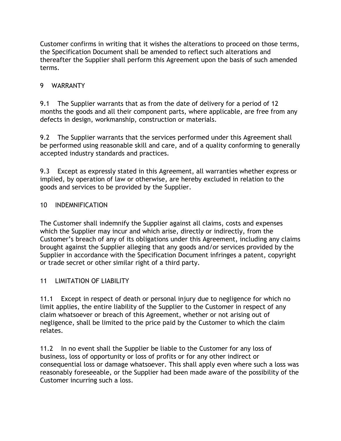Customer confirms in writing that it wishes the alterations to proceed on those terms, the Specification Document shall be amended to reflect such alterations and thereafter the Supplier shall perform this Agreement upon the basis of such amended terms.

## 9 WARRANTY

9.1 The Supplier warrants that as from the date of delivery for a period of 12 months the goods and all their component parts, where applicable, are free from any defects in design, workmanship, construction or materials.

9.2 The Supplier warrants that the services performed under this Agreement shall be performed using reasonable skill and care, and of a quality conforming to generally accepted industry standards and practices.

9.3 Except as expressly stated in this Agreement, all warranties whether express or implied, by operation of law or otherwise, are hereby excluded in relation to the goods and services to be provided by the Supplier.

# 10 INDEMNIFICATION

The Customer shall indemnify the Supplier against all claims, costs and expenses which the Supplier may incur and which arise, directly or indirectly, from the Customer's breach of any of its obligations under this Agreement, including any claims brought against the Supplier alleging that any goods and/or services provided by the Supplier in accordance with the Specification Document infringes a patent, copyright or trade secret or other similar right of a third party.

## 11 **LIMITATION OF LIABILITY**

11.1 Except in respect of death or personal injury due to negligence for which no limit applies, the entire liability of the Supplier to the Customer in respect of any claim whatsoever or breach of this Agreement, whether or not arising out of negligence, shall be limited to the price paid by the Customer to which the claim relates.

11.2 In no event shall the Supplier be liable to the Customer for any loss of business, loss of opportunity or loss of profits or for any other indirect or consequential loss or damage whatsoever. This shall apply even where such a loss was reasonably foreseeable, or the Supplier had been made aware of the possibility of the Customer incurring such a loss.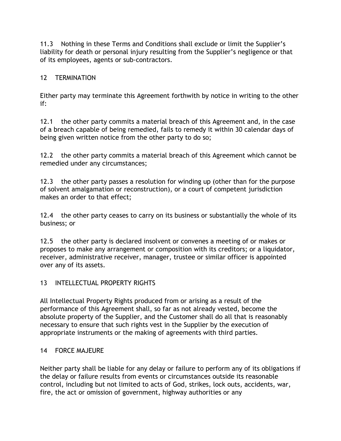11.3 Nothing in these Terms and Conditions shall exclude or limit the Supplier's liability for death or personal injury resulting from the Supplier's negligence or that of its employees, agents or sub-contractors.

#### 12 TERMINATION

Either party may terminate this Agreement forthwith by notice in writing to the other if:

12.1 the other party commits a material breach of this Agreement and, in the case of a breach capable of being remedied, fails to remedy it within 30 calendar days of being given written notice from the other party to do so;

12.2 the other party commits a material breach of this Agreement which cannot be remedied under any circumstances;

12.3 the other party passes a resolution for winding up (other than for the purpose of solvent amalgamation or reconstruction), or a court of competent jurisdiction makes an order to that effect;

12.4 the other party ceases to carry on its business or substantially the whole of its business; or

12.5 the other party is declared insolvent or convenes a meeting of or makes or proposes to make any arrangement or composition with its creditors; or a liquidator, receiver, administrative receiver, manager, trustee or similar officer is appointed over any of its assets.

#### 13 INTELLECTUAL PROPERTY RIGHTS

All Intellectual Property Rights produced from or arising as a result of the performance of this Agreement shall, so far as not already vested, become the absolute property of the Supplier, and the Customer shall do all that is reasonably necessary to ensure that such rights vest in the Supplier by the execution of appropriate instruments or the making of agreements with third parties.

#### 14 FORCE MAJEURE

Neither party shall be liable for any delay or failure to perform any of its obligations if the delay or failure results from events or circumstances outside its reasonable control, including but not limited to acts of God, strikes, lock outs, accidents, war, fire, the act or omission of government, highway authorities or any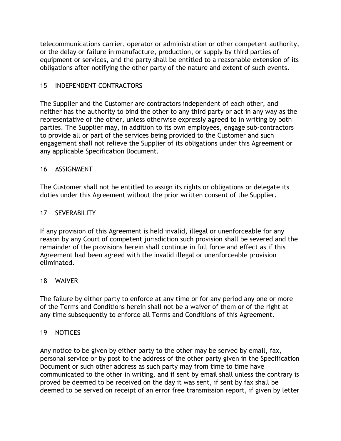telecommunications carrier, operator or administration or other competent authority, or the delay or failure in manufacture, production, or supply by third parties of equipment or services, and the party shall be entitled to a reasonable extension of its obligations after notifying the other party of the nature and extent of such events.

#### 15 INDEPENDENT CONTRACTORS

The Supplier and the Customer are contractors independent of each other, and neither has the authority to bind the other to any third party or act in any way as the representative of the other, unless otherwise expressly agreed to in writing by both parties. The Supplier may, in addition to its own employees, engage sub-contractors to provide all or part of the services being provided to the Customer and such engagement shall not relieve the Supplier of its obligations under this Agreement or any applicable Specification Document.

#### 16 ASSIGNMENT

The Customer shall not be entitled to assign its rights or obligations or delegate its duties under this Agreement without the prior written consent of the Supplier.

#### 17 SEVERABILITY

If any provision of this Agreement is held invalid, illegal or unenforceable for any reason by any Court of competent jurisdiction such provision shall be severed and the remainder of the provisions herein shall continue in full force and effect as if this Agreement had been agreed with the invalid illegal or unenforceable provision eliminated.

#### 18 WAIVER

The failure by either party to enforce at any time or for any period any one or more of the Terms and Conditions herein shall not be a waiver of them or of the right at any time subsequently to enforce all Terms and Conditions of this Agreement.

#### 19 NOTICES

Any notice to be given by either party to the other may be served by email, fax, personal service or by post to the address of the other party given in the Specification Document or such other address as such party may from time to time have communicated to the other in writing, and if sent by email shall unless the contrary is proved be deemed to be received on the day it was sent, if sent by fax shall be deemed to be served on receipt of an error free transmission report, if given by letter